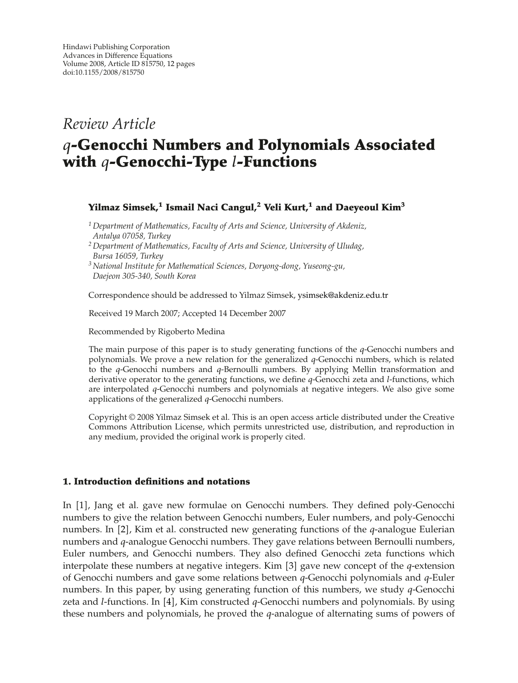# *Review Article*

# *q***-Genocchi Numbers and Polynomials Associated with** *q***-Genocchi-Type** *l***-Functions**

## **Yilmaz Simsek,<sup>1</sup> Ismail Naci Cangul,<sup>2</sup> Veli Kurt,1 and Daeyeoul Kim3**

*<sup>1</sup> Department of Mathematics, Faculty of Arts and Science, University of Akdeniz, Antalya 07058, Turkey*

*<sup>2</sup> Department of Mathematics, Faculty of Arts and Science, University of Uludag, Bursa 16059, Turkey*

*<sup>3</sup> National Institute for Mathematical Sciences, Doryong-dong, Yuseong-gu, Daejeon 305-340, South Korea*

Correspondence should be addressed to Yilmaz Simsek, ysimsek@akdeniz.edu.tr

Received 19 March 2007; Accepted 14 December 2007

Recommended by Rigoberto Medina

The main purpose of this paper is to study generating functions of the *q*-Genocchi numbers and polynomials. We prove a new relation for the generalized *q*-Genocchi numbers, which is related to the *q*-Genocchi numbers and *q*-Bernoulli numbers. By applying Mellin transformation and derivative operator to the generating functions, we define *q*-Genocchi zeta and *l*-functions, which are interpolated *q*-Genocchi numbers and polynomials at negative integers. We also give some applications of the generalized *q*-Genocchi numbers.

Copyright © 2008 Yilmaz Simsek et al. This is an open access article distributed under the Creative Commons Attribution License, which permits unrestricted use, distribution, and reproduction in any medium, provided the original work is properly cited.

### **1. Introduction definitions and notations**

In [1], Jang et al. gave new formulae on Genocchi numbers. They defined poly-Genocchi numbers to give the relation between Genocchi numbers, Euler numbers, and poly-Genocchi numbers. In [2], Kim et al. constructed new generating functions of the *q*-analogue Eulerian numbers and *q*-analogue Genocchi numbers. They gave relations between Bernoulli numbers, Euler numbers, and Genocchi numbers. They also defined Genocchi zeta functions which interpolate these numbers at negative integers. Kim  $\left[3\right]$  gave new concept of the *q*-extension of Genocchi numbers and gave some relations between *q*-Genocchi polynomials and *q*-Euler numbers. In this paper, by using generating function of this numbers, we study *q*-Genocchi zeta and *l*-functions. In [4], Kim constructed q-Genocchi numbers and polynomials. By using these numbers and polynomials, he proved the *q*-analogue of alternating sums of powers of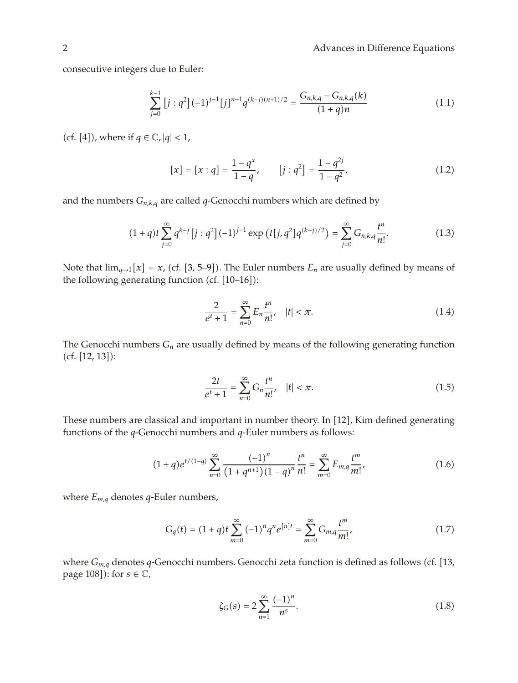# 2 Advances in Difference Equations

consecutive integers due to Euler:

$$
\sum_{j=0}^{k-1} \left[ j : q^2 \right] (-1)^{j-1} [j]^{n-1} q^{(k-j)(n+1)/2} = \frac{G_{n,k,q} - G_{n,k,q}(k)}{(1+q)n} \tag{1.1}
$$

(cf. [4]), where if  $q \in \mathbb{C}$ ,  $|q| < 1$ ,

$$
[x] = [x : q] = \frac{1 - q^x}{1 - q}, \qquad [j : q^2] = \frac{1 - q^{2j}}{1 - q^2}, \tag{1.2}
$$

and the numbers  $G_{n,k,q}$  are called q-Genocchi numbers which are defined by

$$
(1+q)t\sum_{j=0}^{\infty}q^{k-j}[j:q^{2}](-1)^{j-1}\exp\left(t[j,q^{2}]q^{(k-j)/2}\right)=\sum_{j=0}^{\infty}G_{n,k,q}\frac{t^{n}}{n!}.
$$
 (1.3)

Note that  $\lim_{q\to 1}[x] = x$ , (cf. [3, 5–9]). The Euler numbers  $E_n$  are usually defined by means of the following generating function (cf.  $[10-16]$ ):

$$
\frac{2}{e^t + 1} = \sum_{n=0}^{\infty} E_n \frac{t^n}{n!}, \quad |t| < \pi. \tag{1.4}
$$

The Genocchi numbers *Gn* are usually defined by means of the following generating function  $(cf. [12, 13]:$ 

$$
\frac{2t}{e^t + 1} = \sum_{n=0}^{\infty} G_n \frac{t^n}{n!}, \quad |t| < \pi. \tag{1.5}
$$

These numbers are classical and important in number theory. In [12], Kim defined generating functions of the *q*-Genocchi numbers and *q*-Euler numbers as follows:

$$
(1+q)e^{t/(1-q)}\sum_{n=0}^{\infty}\frac{(-1)^n}{(1+q^{n+1})(1-q)^n}\frac{t^n}{n!}=\sum_{m=0}^{\infty}E_{m,q}\frac{t^m}{m!},\qquad(1.6)
$$

where *Em,q* denotes *q*-Euler numbers,

$$
G_q(t) = (1+q)t \sum_{m=0}^{\infty} (-1)^n q^n e^{[n]t} = \sum_{m=0}^{\infty} G_{m,q} \frac{t^m}{m!},
$$
 (1.7)

where  $G_{m,q}$  denotes q-Genocchi numbers. Genocchi zeta function is defined as follows (cf. [13, page 108]): for  $s \in \mathbb{C}$ ,

$$
\zeta_G(s) = 2 \sum_{n=1}^{\infty} \frac{(-1)^n}{n^s}.
$$
\n(1.8)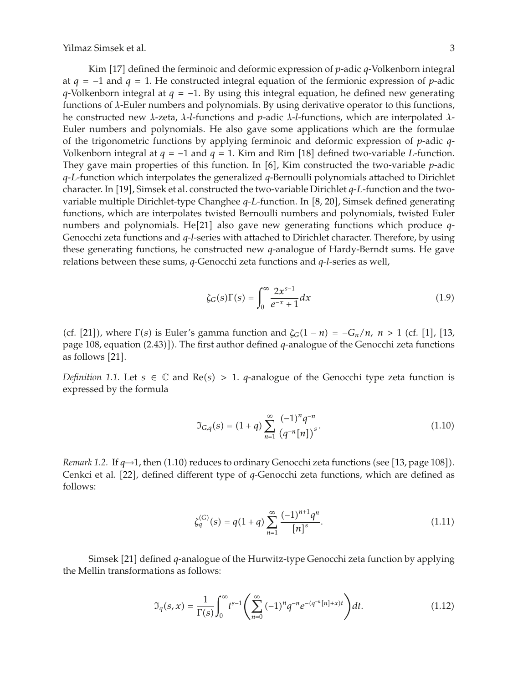Kim [17] defined the ferminoic and deformic expression of *p*-adic *q*-Volkenborn integral at  $q = -1$  and  $q = 1$ . He constructed integral equation of the fermionic expression of *p*-adic *q*-Volkenborn integral at *q* = −1. By using this integral equation, he defined new generating functions of *λ*-Euler numbers and polynomials. By using derivative operator to this functions, he constructed new *λ*-zeta, *λ*-*l*-functions and *p*-adic *λ*-*l*-functions, which are interpolated *λ*-Euler numbers and polynomials. He also gave some applications which are the formulae of the trigonometric functions by applying ferminoic and deformic expression of *p*-adic *q*-Volkenborn integral at  $q = -1$  and  $q = 1$ . Kim and Rim [18] defined two-variable *L*-function. They gave main properties of this function. In  $[6]$ , Kim constructed the two-variable *p*-adic *q*-*L*-function which interpolates the generalized *q*-Bernoulli polynomials attached to Dirichlet character. In [19], Simsek et al. constructed the two-variable Dirichlet *q*-*L*-function and the twovariable multiple Dirichlet-type Changhee *q*-*L*-function. In [8, 20], Simsek defined generating functions, which are interpolates twisted Bernoulli numbers and polynomials, twisted Euler numbers and polynomials. He<sup>[21]</sup> also gave new generating functions which produce *q*-Genocchi zeta functions and *q*-*l*-series with attached to Dirichlet character. Therefore, by using these generating functions, he constructed new *q*-analogue of Hardy-Berndt sums. He gave relations between these sums, *q*-Genocchi zeta functions and *q*-*l*-series as well,

$$
\zeta_G(s)\Gamma(s) = \int_0^\infty \frac{2x^{s-1}}{e^{-x} + 1} dx\tag{1.9}
$$

(cf. [21]), where  $\Gamma(s)$  is Euler's gamma function and  $\zeta_G(1 - n) = -G_n/n$ ,  $n > 1$  (cf. [1], [13, page 108, equation (2.43)]). The first author defined *q*-analogue of the Genocchi zeta functions as follows [21].

*Definition 1.1.* Let  $s \in \mathbb{C}$  and  $Re(s) > 1$ . *q*-analogue of the Genocchi type zeta function is expressed by the formula

$$
\mathfrak{I}_{G,q}(s) = (1+q) \sum_{n=1}^{\infty} \frac{(-1)^n q^{-n}}{(q^{-n}[n])^s}.
$$
\n(1.10)

*Remark* 1.2. If  $q\rightarrow 1$ , then (1.10) reduces to ordinary Genocchi zeta functions (see [13, page 108]). Cenkci et al. [22], defined different type of *q*-Genocchi zeta functions, which are defined as follows:

$$
\zeta_q^{(G)}(s) = q(1+q) \sum_{n=1}^{\infty} \frac{(-1)^{n+1} q^n}{[n]^s}.
$$
\n(1.11)

Simsek 21 defined *q*-analogue of the Hurwitz-type Genocchi zeta function by applying the Mellin transformations as follows:

$$
\mathfrak{I}_q(s,x) = \frac{1}{\Gamma(s)} \int_0^\infty t^{s-1} \left( \sum_{n=0}^\infty (-1)^n q^{-n} e^{-(q^{-n}[n]+x)t} \right) dt. \tag{1.12}
$$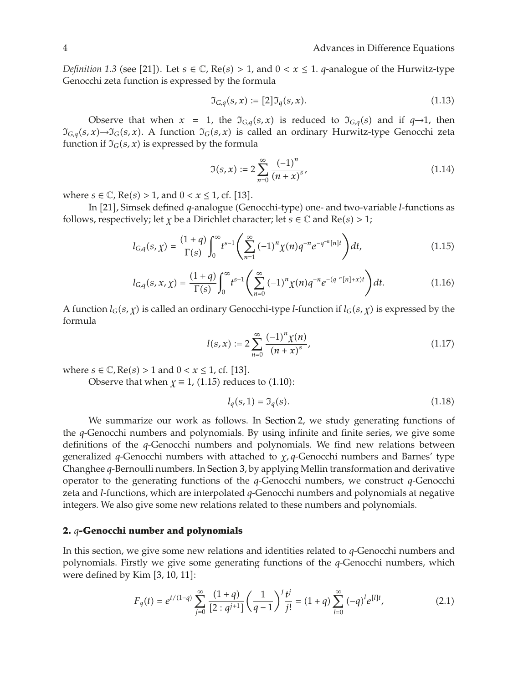*Definition 1.3* (see [21]). Let  $s \in \mathbb{C}$ , Re( $s$ ) > 1, and  $0 < x \le 1$ . *q*-analogue of the Hurwitz-type Genocchi zeta function is expressed by the formula

$$
\mathfrak{I}_{G,q}(s,x) := [2]\mathfrak{I}_q(s,x). \tag{1.13}
$$

Observe that when  $x = 1$ , the  $\mathfrak{I}_{G,q}(s,x)$  is reduced to  $\mathfrak{I}_{G,q}(s)$  and if  $q\rightarrow 1$ , then  $\mathfrak{I}_{G,q}(s,x)$ → $\mathfrak{I}_G(s,x)$ . A function  $\mathfrak{I}_G(s,x)$  is called an ordinary Hurwitz-type Genocchi zeta function if  $\mathfrak{I}_G(s, x)$  is expressed by the formula

$$
\mathfrak{I}(s,x) := 2 \sum_{n=0}^{\infty} \frac{(-1)^n}{(n+x)^s},\tag{1.14}
$$

where  $s \in \mathbb{C}$ ,  $\text{Re}(s) > 1$ , and  $0 < x \leq 1$ , cf. [13].

In [21], Simsek defined *q*-analogue (Genocchi-type) one- and two-variable *l*-functions as follows, respectively; let *χ* be a Dirichlet character; let *s*  $\in \mathbb{C}$  and Re $(s) > 1$ ;

$$
l_{G,q}(s,\chi) = \frac{(1+q)}{\Gamma(s)} \int_0^\infty t^{s-1} \left( \sum_{n=1}^\infty (-1)^n \chi(n) q^{-n} e^{-q^{-n}[n]t} \right) dt,
$$
\n(1.15)

$$
l_{G,q}(s,x,\chi) = \frac{(1+q)}{\Gamma(s)} \int_0^\infty t^{s-1} \left( \sum_{n=0}^\infty (-1)^n \chi(n) q^{-n} e^{-(q^{-n}[n]+x)t} \right) dt.
$$
 (1.16)

A function  $l_G(s, \gamma)$  is called an ordinary Genocchi-type *l*-function if  $l_G(s, \gamma)$  is expressed by the formula

$$
l(s,x) := 2\sum_{n=0}^{\infty} \frac{(-1)^n \chi(n)}{(n+x)^s},
$$
\n(1.17)

where  $s \in \mathbb{C}$ ,  $\text{Re}(s) > 1$  and  $0 < x \le 1$ , cf. [13].

Observe that when  $\gamma \equiv 1$ , (1.15) reduces to (1.10):

$$
l_q(s,1) = \mathfrak{I}_q(s). \tag{1.18}
$$

We summarize our work as follows. In Section 2, we study generating functions of the *q*-Genocchi numbers and polynomials. By using infinite and finite series, we give some definitions of the *q*-Genocchi numbers and polynomials. We find new relations between generalized *q*-Genocchi numbers with attached to *χ, q*-Genocchi numbers and Barnes' type Changhee *q*-Bernoulli numbers. In Section 3, by applying Mellin transformation and derivative operator to the generating functions of the *q*-Genocchi numbers, we construct *q*-Genocchi zeta and *l*-functions, which are interpolated *q*-Genocchi numbers and polynomials at negative integers. We also give some new relations related to these numbers and polynomials.

## **2.** *q***-Genocchi number and polynomials**

In this section, we give some new relations and identities related to *q*-Genocchi numbers and polynomials. Firstly we give some generating functions of the *q*-Genocchi numbers, which were defined by Kim  $[3, 10, 11]$ :

$$
F_q(t) = e^{t/(1-q)} \sum_{j=0}^{\infty} \frac{(1+q)}{[2:q^{j+1}]} \left(\frac{1}{q-1}\right)^j \frac{t^j}{j!} = (1+q) \sum_{l=0}^{\infty} (-q)^l e^{[l]t}, \tag{2.1}
$$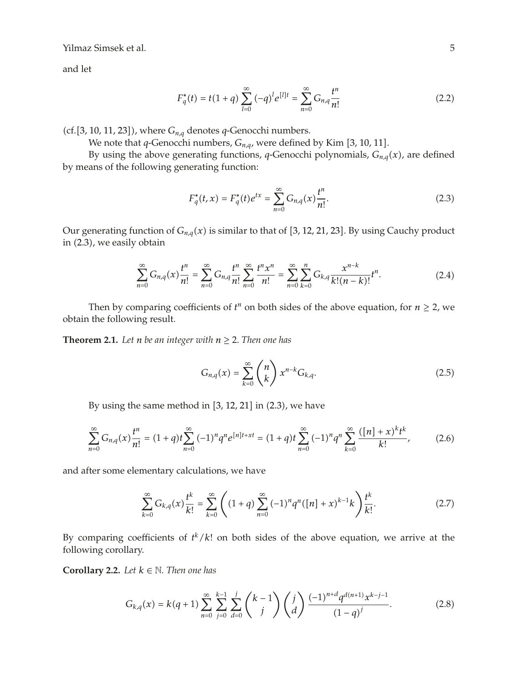and let

$$
F_q^*(t) = t(1+q) \sum_{l=0}^{\infty} (-q)^l e^{[l]t} = \sum_{n=0}^{\infty} G_{n,q} \frac{t^n}{n!}
$$
 (2.2)

(cf. [3, 10, 11, 23]), where  $G_{n,q}$  denotes q-Genocchi numbers.

We note that *q*-Genocchi numbers,  $G_{n,q}$ , were defined by Kim [3, 10, 11].

By using the above generating functions, *q*-Genocchi polynomials,  $G_{n,q}(x)$ , are defined by means of the following generating function:

$$
F_q^*(t, x) = F_q^*(t)e^{tx} = \sum_{n=0}^{\infty} G_{n,q}(x)\frac{t^n}{n!}.
$$
 (2.3)

Our generating function of  $G_{n,q}(x)$  is similar to that of [3, 12, 21, 23]. By using Cauchy product in  $(2.3)$ , we easily obtain

$$
\sum_{n=0}^{\infty} G_{n,q}(x) \frac{t^n}{n!} = \sum_{n=0}^{\infty} G_{n,q} \frac{t^n}{n!} \sum_{n=0}^{\infty} \frac{t^n x^n}{n!} = \sum_{n=0}^{\infty} \sum_{k=0}^n G_{k,q} \frac{x^{n-k}}{k!(n-k)!} t^n.
$$
 (2.4)

Then by comparing coefficients of  $t^n$  on both sides of the above equation, for  $n \geq 2$ , we obtain the following result.

**Theorem 2.1.** Let *n* be an integer with  $n \geq 2$ . Then one has

$$
G_{n,q}(x) = \sum_{k=0}^{\infty} {n \choose k} x^{n-k} G_{k,q}.
$$
 (2.5)

By using the same method in  $[3, 12, 21]$  in  $(2.3)$ , we have

$$
\sum_{n=0}^{\infty} G_{n,q}(x) \frac{t^n}{n!} = (1+q)t \sum_{n=0}^{\infty} (-1)^n q^n e^{[n]t+xt} = (1+q)t \sum_{n=0}^{\infty} (-1)^n q^n \sum_{k=0}^{\infty} \frac{([n]+x)^k t^k}{k!},
$$
(2.6)

and after some elementary calculations, we have

$$
\sum_{k=0}^{\infty} G_{k,q}(x) \frac{t^k}{k!} = \sum_{k=0}^{\infty} \left( (1+q) \sum_{n=0}^{\infty} (-1)^n q^n ([n]+x)^{k-1} k \right) \frac{t^k}{k!}.
$$
 (2.7)

By comparing coefficients of  $t^k/k!$  on both sides of the above equation, we arrive at the following corollary.

**Corollary 2.2.** *Let*  $k \in \mathbb{N}$ *. Then one has* 

$$
G_{k,q}(x) = k(q+1) \sum_{n=0}^{\infty} \sum_{j=0}^{k-1} \sum_{d=0}^{j} {k-1 \choose j} {j \choose d} \frac{(-1)^{n+d} q^{d(n+1)} x^{k-j-1}}{(1-q)^j}.
$$
 (2.8)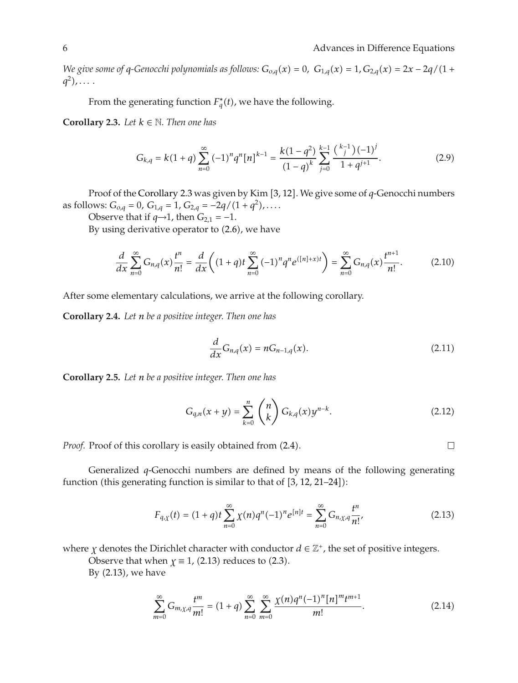*We give some of q-Genocchi polynomials as follows:*  $G_{o,q}(x) = 0$ ,  $G_{1,q}(x) = 1$ ,  $G_{2,q}(x) = 2x - 2q/(1 +$  $q^2)$ , ....

From the generating function  $F_q^*(t)$ , we have the following.

**Corollary 2.3.** *Let*  $k \in \mathbb{N}$ *. Then one has* 

$$
G_{k,q} = k(1+q) \sum_{n=0}^{\infty} (-1)^n q^n [n]^{k-1} = \frac{k(1-q^2)}{(1-q)^k} \sum_{j=0}^{k-1} \frac{\binom{k-1}{j} (-1)^j}{1+q^{j+1}}.
$$
 (2.9)

Proof of the Corollary 2.3 was given by Kim [3, 12]. We give some of *q*-Genocchi numbers as follows:  $G_{o,q} = 0$ ,  $G_{1,q} = 1$ ,  $G_{2,q} = -2q/(1+q^2)$ ,....

Observe that if  $q \rightarrow 1$ , then  $G_{2,1} = -1$ .

By using derivative operator to  $(2.6)$ , we have

$$
\frac{d}{dx}\sum_{n=0}^{\infty}G_{n,q}(x)\frac{t^n}{n!}=\frac{d}{dx}\bigg((1+q)t\sum_{n=0}^{\infty}(-1)^nq^ne^{([n]+x)t}\bigg)=\sum_{n=0}^{\infty}G_{n,q}(x)\frac{t^{n+1}}{n!}.\tag{2.10}
$$

After some elementary calculations, we arrive at the following corollary.

**Corollary 2.4.** *Let n be a positive integer. Then one has*

$$
\frac{d}{dx}G_{n,q}(x) = nG_{n-1,q}(x). \tag{2.11}
$$

**Corollary 2.5.** *Let n be a positive integer. Then one has*

$$
G_{q,n}(x+y) = \sum_{k=0}^{n} {n \choose k} G_{k,q}(x) y^{n-k}.
$$
 (2.12)

 $\Box$ 

*Proof.* Proof of this corollary is easily obtained from  $(2.4)$ .

Generalized *q*-Genocchi numbers are defined by means of the following generating function (this generating function is similar to that of  $[3, 12, 21-24]$ ):

$$
F_{q,\chi}(t) = (1+q)t \sum_{n=0}^{\infty} \chi(n)q^n(-1)^n e^{[n]t} = \sum_{n=0}^{\infty} G_{n,\chi,q} \frac{t^n}{n!},
$$
 (2.13)

where *χ* denotes the Dirichlet character with conductor  $d \in \mathbb{Z}^+$ , the set of positive integers.

Observe that when  $\chi \equiv 1$ , (2.13) reduces to (2.3).

By  $(2.13)$ , we have

$$
\sum_{m=0}^{\infty} G_{m,\chi,q} \frac{t^m}{m!} = (1+q) \sum_{n=0}^{\infty} \sum_{m=0}^{\infty} \frac{\chi(n)q^n (-1)^n [n]^m t^{m+1}}{m!}.
$$
 (2.14)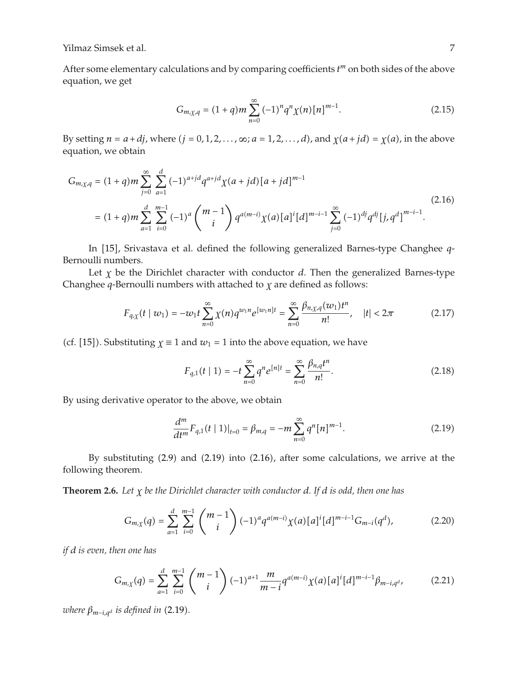After some elementary calculations and by comparing coefficients *t <sup>m</sup>* on both sides of the above equation, we get

$$
G_{m,\chi,q} = (1+q)m\sum_{n=0}^{\infty} (-1)^n q^n \chi(n) [n]^{m-1}.
$$
 (2.15)

By setting  $n = a + d$ *j*, where  $(j = 0, 1, 2, \ldots, \infty; a = 1, 2, \ldots, d$ , and  $\chi(a + id) = \chi(a)$ , in the above equation, we obtain

$$
G_{m,\chi,q} = (1+q)m \sum_{j=0}^{\infty} \sum_{a=1}^{d} (-1)^{a+jd} q^{a+jd} \chi(a+jd) [a+jd]^{m-1}
$$
  
=  $(1+q)m \sum_{a=1}^{d} \sum_{i=0}^{m-1} (-1)^{a} {m-1 \choose i} q^{a(m-i)} \chi(a) [a]^i [d]^{m-i-1} \sum_{j=0}^{\infty} (-1)^{dj} q^{dj} [j, q^d]^{m-i-1}.$  (2.16)

In [15], Srivastava et al. defined the following generalized Barnes-type Changhee *q*-Bernoulli numbers.

Let *χ* be the Dirichlet character with conductor *d*. Then the generalized Barnes-type Changhee *q*-Bernoulli numbers with attached to *χ* are defined as follows:

$$
F_{q,\chi}(t \mid w_1) = -w_1 t \sum_{n=0}^{\infty} \chi(n) q^{w_1 n} e^{[w_1 n]t} = \sum_{n=0}^{\infty} \frac{\beta_{n,\chi,q}(w_1) t^n}{n!}, \quad |t| < 2\pi \tag{2.17}
$$

(cf. [15]). Substituting  $\gamma \equiv 1$  and  $w_1 = 1$  into the above equation, we have

$$
F_{q,1}(t \mid 1) = -t \sum_{n=0}^{\infty} q^n e^{[n]t} = \sum_{n=0}^{\infty} \frac{\beta_{n,q} t^n}{n!}.
$$
 (2.18)

By using derivative operator to the above, we obtain

$$
\frac{d^m}{dt^m}F_{q,1}(t \mid 1)|_{t=0} = \beta_{m,q} = -m \sum_{n=0}^{\infty} q^n [n]^{m-1}.
$$
 (2.19)

By substituting  $(2.9)$  and  $(2.19)$  into  $(2.16)$ , after some calculations, we arrive at the following theorem.

**Theorem 2.6.** *Let χ be the Dirichlet character with conductor d. If d is odd, then one has*

$$
G_{m,\chi}(q) = \sum_{a=1}^{d} \sum_{i=0}^{m-1} {m-1 \choose i} (-1)^a q^{a(m-i)} \chi(a) [a]^i [d]^{m-i-1} G_{m-i}(q^d), \qquad (2.20)
$$

*if d is even, then one has*

$$
G_{m,\chi}(q) = \sum_{a=1}^{d} \sum_{i=0}^{m-1} {m-1 \choose i} (-1)^{a+1} \frac{m}{m-i} q^{a(m-i)} \chi(a) [a]^i [d]^{m-i-1} \beta_{m-i,q^d},
$$
(2.21)

*where*  $\beta_{m-i,q^d}$  *is defined in* (2.19).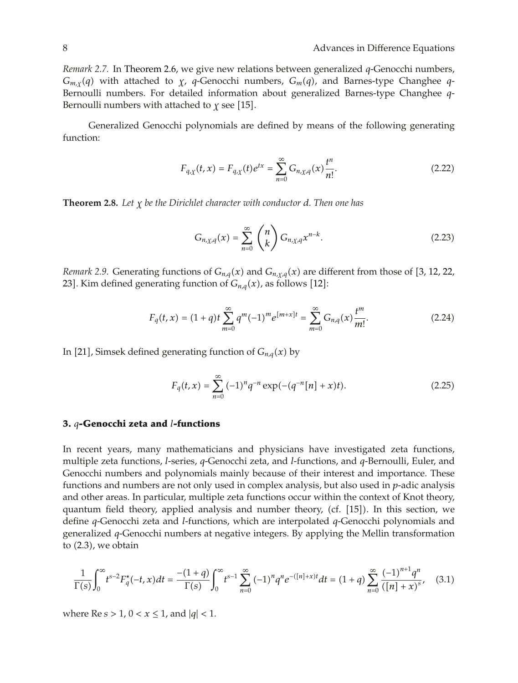*Remark 2.7.* In Theorem 2.6, we give new relations between generalized *q*-Genocchi numbers, *Gm,χq* with attached to *χ*, *q*-Genocchi numbers, *Gmq*, and Barnes-type Changhee *q*-Bernoulli numbers. For detailed information about generalized Barnes-type Changhee *q*-Bernoulli numbers with attached to  $\chi$  see [15].

Generalized Genocchi polynomials are defined by means of the following generating function:

$$
F_{q,\chi}(t,x) = F_{q,\chi}(t)e^{tx} = \sum_{n=0}^{\infty} G_{n,\chi,q}(x)\frac{t^n}{n!}.
$$
 (2.22)

**Theorem 2.8.** *Let χ be the Dirichlet character with conductor d. Then one has*

$$
G_{n,\chi,q}(x) = \sum_{n=0}^{\infty} {n \choose k} G_{n,\chi,q} x^{n-k}.
$$
 (2.23)

*Remark 2.9.* Generating functions of  $G_{n,q}(x)$  and  $G_{n,\chi,q}(x)$  are different from those of [3, 12, 22, 23]. Kim defined generating function of  $G_{n,q}(x)$ , as follows [12]:

$$
F_q(t,x) = (1+q)t \sum_{m=0}^{\infty} q^m (-1)^m e^{[m+x]t} = \sum_{m=0}^{\infty} G_{n,q}(x) \frac{t^m}{m!}.
$$
 (2.24)

In [21], Simsek defined generating function of  $G_{n,q}(x)$  by

$$
F_q(t,x) = \sum_{n=0}^{\infty} (-1)^n q^{-n} \exp(-(q^{-n}[n] + x)t).
$$
 (2.25)

#### **3.** *q***-Genocchi zeta and** *l***-functions**

In recent years, many mathematicians and physicians have investigated zeta functions, multiple zeta functions, *l*-series, *q*-Genocchi zeta, and *l*-functions, and *q*-Bernoulli, Euler, and Genocchi numbers and polynomials mainly because of their interest and importance. These functions and numbers are not only used in complex analysis, but also used in *p*-adic analysis and other areas. In particular, multiple zeta functions occur within the context of Knot theory, quantum field theory, applied analysis and number theory,  $(cf. [15])$ . In this section, we define *q*-Genocchi zeta and *l*-functions, which are interpolated *q*-Genocchi polynomials and generalized *q*-Genocchi numbers at negative integers. By applying the Mellin transformation to  $(2.3)$ , we obtain

$$
\frac{1}{\Gamma(s)} \int_0^\infty t^{s-2} F_q^*(-t, x) dt = \frac{-(1+q)}{\Gamma(s)} \int_0^\infty t^{s-1} \sum_{n=0}^\infty (-1)^n q^n e^{-([n]+x)t} dt = (1+q) \sum_{n=0}^\infty \frac{(-1)^{n+1} q^n}{([n]+x)^s}, \quad (3.1)
$$

where  $\text{Re } s > 1$ ,  $0 < x \leq 1$ , and  $|q| < 1$ .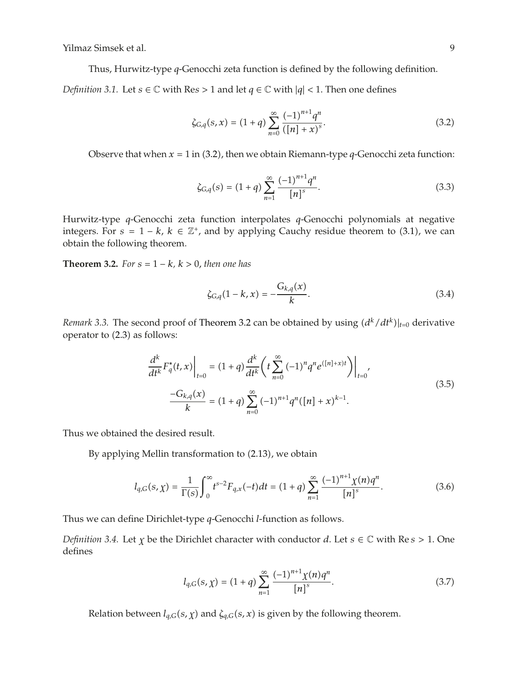Thus, Hurwitz-type *q*-Genocchi zeta function is defined by the following definition.

*Definition 3.1.* Let  $s \in \mathbb{C}$  with Re $s > 1$  and let  $q \in \mathbb{C}$  with  $|q| < 1$ . Then one defines

$$
\zeta_{G,q}(s,x) = (1+q) \sum_{n=0}^{\infty} \frac{(-1)^{n+1} q^n}{([n]+x)^s}.
$$
\n(3.2)

Observe that when  $x = 1$  in (3.2), then we obtain Riemann-type  $q$ -Genocchi zeta function:

$$
\zeta_{G,q}(s) = (1+q) \sum_{n=1}^{\infty} \frac{(-1)^{n+1} q^n}{[n]^s}.
$$
\n(3.3)

Hurwitz-type *q*-Genocchi zeta function interpolates *q*-Genocchi polynomials at negative integers. For  $s = 1 - k$ ,  $k \in \mathbb{Z}^+$ , and by applying Cauchy residue theorem to (3.1), we can obtain the following theorem.

**Theorem 3.2.** *For*  $s = 1 - k$ *,*  $k > 0$ *, then one has* 

$$
\zeta_{G,q}(1-k,x) = -\frac{G_{k,q}(x)}{k}.\tag{3.4}
$$

*Remark 3.3.* The second proof of Theorem 3.2 can be obtained by using  $(d^{k}/dt^{k})|_{t=0}$  derivative operator to  $(2.3)$  as follows:

$$
\frac{d^k}{dt^k} F_q^*(t, x) \Big|_{t=0} = (1+q) \frac{d^k}{dt^k} \left( t \sum_{n=0}^{\infty} (-1)^n q^n e^{([n]+x)t} \right) \Big|_{t=0'},
$$
\n
$$
\frac{-G_{k,q}(x)}{k} = (1+q) \sum_{n=0}^{\infty} (-1)^{n+1} q^n ([n]+x)^{k-1}.
$$
\n(3.5)

Thus we obtained the desired result.

By applying Mellin transformation to  $(2.13)$ , we obtain

$$
l_{q,G}(s,\chi) = \frac{1}{\Gamma(s)} \int_0^\infty t^{s-2} F_{q,x}(-t) dt = (1+q) \sum_{n=1}^\infty \frac{(-1)^{n+1} \chi(n) q^n}{[n]^s}.
$$
 (3.6)

Thus we can define Dirichlet-type *q*-Genocchi *l*-function as follows.

*Definition 3.4.* Let *<sup>χ</sup>* be the Dirichlet character with conductor *<sup>d</sup>*. Let *<sup>s</sup>* <sup>∈</sup> <sup>C</sup> with Re *s >* <sup>1</sup>*.* One defines

$$
l_{q,G}(s,\chi) = (1+q) \sum_{n=1}^{\infty} \frac{(-1)^{n+1} \chi(n) q^n}{[n]^s}.
$$
 (3.7)

Relation between  $l_{q,G}(s, \chi)$  and  $\zeta_{q,G}(s, x)$  is given by the following theorem.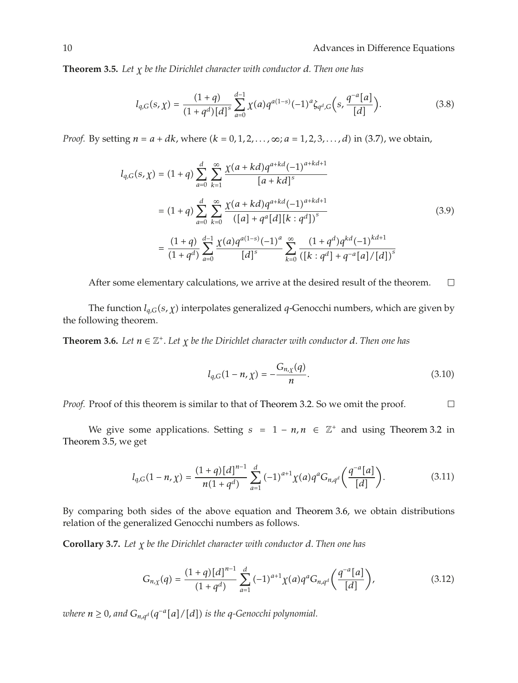**Theorem 3.5.** *Let χ be the Dirichlet character with conductor d. Then one has*

$$
l_{q,G}(s,\chi) = \frac{(1+q)}{(1+q^d)[d]^s} \sum_{a=0}^{d-1} \chi(a)q^{a(1-s)}(-1)^a \zeta_{q^d,G}\left(s, \frac{q^{-a}[a]}{[d]}\right).
$$
 (3.8)

*Proof.* By setting  $n = a + dk$ , where  $(k = 0, 1, 2, ..., \infty; a = 1, 2, 3, ..., d)$  in (3.7), we obtain,

$$
l_{q,G}(s,\chi) = (1+q) \sum_{a=0}^{d} \sum_{k=1}^{\infty} \frac{\chi(a+kd)q^{a+kd}(-1)^{a+kd+1}}{[a+kd]^s}
$$
  

$$
= (1+q) \sum_{a=0}^{d} \sum_{k=0}^{\infty} \frac{\chi(a+kd)q^{a+kd}(-1)^{a+kd+1}}{([a]+q^a[d][k:q^d])^s}
$$
  

$$
= \frac{(1+q)}{(1+q^d)} \sum_{a=0}^{d-1} \frac{\chi(a)q^{a(1-s)}(-1)^a}{[d]^s} \sum_{k=0}^{\infty} \frac{(1+q^d)q^{kd}(-1)^{kd+1}}{([k:q^d]+q^{-a}[a]/[d])^s}
$$
 (3.9)

After some elementary calculations, we arrive at the desired result of the theorem.  $\Box$ 

The function *lq,Gs, χ* interpolates generalized *q*-Genocchi numbers, which are given by the following theorem.

**Theorem 3.6.** *Let*  $n \in \mathbb{Z}^+$ *. Let*  $\chi$  *be the Dirichlet character with conductor d. Then one has* 

$$
l_{q,G}(1 - n, \chi) = -\frac{G_{n,\chi}(q)}{n}.
$$
\n(3.10)

*Proof.* Proof of this theorem is similar to that of Theorem 3.2. So we omit the proof.  $\Box$ 

We give some applications. Setting  $s = 1 - n, n \in \mathbb{Z}^+$  and using Theorem 3.2 in Theorem 3.5, we get

$$
l_{q,G}(1-n,\chi) = \frac{(1+q)[d]^{n-1}}{n(1+q^d)} \sum_{a=1}^d (-1)^{a+1} \chi(a) q^a G_{n,q^d} \left( \frac{q^{-a}[a]}{[d]} \right).
$$
 (3.11)

By comparing both sides of the above equation and Theorem 3.6, we obtain distributions relation of the generalized Genocchi numbers as follows.

**Corollary 3.7.** *Let χ be the Dirichlet character with conductor d. Then one has*

$$
G_{n,\chi}(q) = \frac{(1+q)[d]^{n-1}}{(1+q^d)} \sum_{a=1}^d (-1)^{a+1} \chi(a) q^a G_{n,q^d} \left( \frac{q^{-a}[a]}{[d]} \right), \tag{3.12}
$$

*where*  $n ≥ 0$ *, and*  $G_{n,q}$ <sup>*d*</sup>( $q^{-a}[a]/[d]$ ) is the  $q$ -Genocchi polynomial.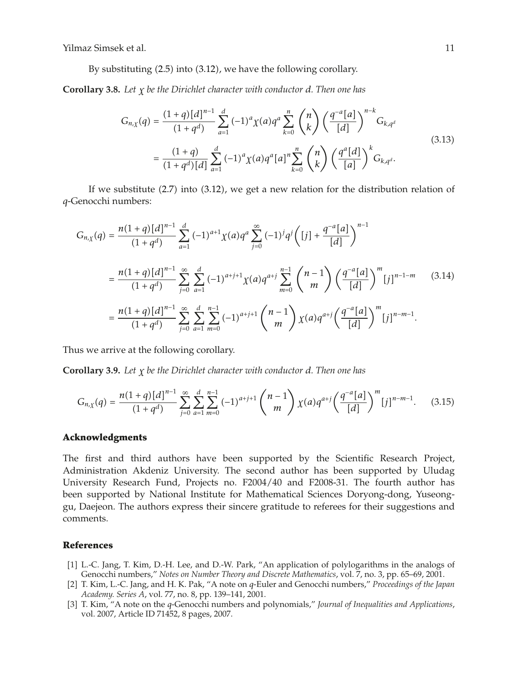By substituting  $(2.5)$  into  $(3.12)$ , we have the following corollary.

**Corollary 3.8.** *Let χ be the Dirichlet character with conductor d. Then one has*

$$
G_{n,\chi}(q) = \frac{(1+q)[d]^{n-1}}{(1+q^d)} \sum_{a=1}^d (-1)^a \chi(a) q^a \sum_{k=0}^n {n \choose k} \left(\frac{q^{-a}[a]}{[d]}\right)^{n-k} G_{k,q^d}
$$
  

$$
= \frac{(1+q)}{(1+q^d)[d]} \sum_{a=1}^d (-1)^a \chi(a) q^a[a]^n \sum_{k=0}^n {n \choose k} \left(\frac{q^a[d]}{[a]}\right)^k G_{k,q^d}.
$$
 (3.13)

If we substitute  $(2.7)$  into  $(3.12)$ , we get a new relation for the distribution relation of *q*-Genocchi numbers:

$$
G_{n,\chi}(q) = \frac{n(1+q)[d]^{n-1}}{(1+q^d)} \sum_{a=1}^d (-1)^{a+1} \chi(a) q^a \sum_{j=0}^\infty (-1)^j q^j \left( [j] + \frac{q^{-a}[a]}{[d]} \right)^{n-1}
$$
  
= 
$$
\frac{n(1+q)[d]^{n-1}}{(1+q^d)} \sum_{j=0}^\infty \sum_{a=1}^d (-1)^{a+j+1} \chi(a) q^{a+j} \sum_{m=0}^{n-1} {n-1 \choose m} \left( \frac{q^{-a}[a]}{[d]} \right)^m [j]^{n-1-m}
$$
(3.14)  
= 
$$
\frac{n(1+q)[d]^{n-1}}{(1+q^d)} \sum_{j=0}^\infty \sum_{a=1}^d \sum_{m=0}^{n-1} (-1)^{a+j+1} {n-1 \choose m} \chi(a) q^{a+j} \left( \frac{q^{-a}[a]}{[d]} \right)^m [j]^{n-m-1}.
$$

Thus we arrive at the following corollary.

**Corollary 3.9.** *Let χ be the Dirichlet character with conductor d. Then one has*

$$
G_{n,\chi}(q) = \frac{n(1+q)[d]^{n-1}}{(1+q^d)} \sum_{j=0}^{\infty} \sum_{a=1}^{d} \sum_{m=0}^{n-1} (-1)^{a+j+1} {n-1 \choose m} \chi(a) q^{a+j} \left(\frac{q^{-a}[a]}{[d]}\right)^m [j]^{n-m-1}.
$$
 (3.15)

### **Acknowledgments**

The first and third authors have been supported by the Scientific Research Project, Administration Akdeniz University. The second author has been supported by Uludag University Research Fund, Projects no. F2004/40 and F2008-31. The fourth author has been supported by National Institute for Mathematical Sciences Doryong-dong, Yuseonggu, Daejeon. The authors express their sincere gratitude to referees for their suggestions and comments.

## **References**

- 1 L.-C. Jang, T. Kim, D.-H. Lee, and D.-W. Park, "An application of polylogarithms in the analogs of Genocchi numbers," *Notes on Number Theory and Discrete Mathematics*, vol. 7, no. 3, pp. 65–69, 2001.
- 2 T. Kim, L.-C. Jang, and H. K. Pak, "A note on *q*-Euler and Genocchi numbers," *Proceedings of the Japan Academy. Series A*, vol. 77, no. 8, pp. 139–141, 2001.
- 3 T. Kim, "A note on the *q*-Genocchi numbers and polynomials," *Journal of Inequalities and Applications*, vol. 2007, Article ID 71452, 8 pages, 2007.